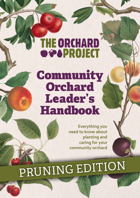# THE ORCHARD<br>OCOPROJECT

## Community Orchard Leader's Handbook

**Everything you need to know about planting and caring for your community orchard** 

## PRUNING EDITION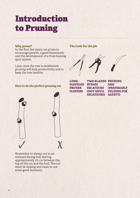## Introduction to Pruning

#### **Why prune?**

In the first few years, we prune to encourage growth, a good framework, and the development of a fruit-bearing spur system.

Later, once the tree is established, pruning will help productivity and to keep the tree healthy.

#### **How to do the perfect pruning cut**



Remember to always cut to an outward facing bud, leaving approximately 1/2 cm between the top of the cut and the bud. The cut must be sloping and clean so use some good secateurs.

#### THE TOOLS FOR THE JOB **The tools for the job**





**LONG-HANDLED PRUNER (LOPPER)**

**BYPASS SECATEURS (NOT ONVIL SECATEURS)**

**TWO BLADED PRUNING SAW (PREFERABLY FOLDING FOR SAFETY)**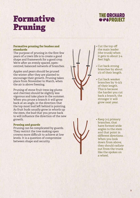

### Formative Pruning

#### **Formative pruning for bushes and standards**

The purpose of pruning in the first few years of a tree's life is to create a good shape and framework for a good crop. We're after an evenly spaced, opencentred, balanced network of branches.

Apples and pears should be pruned the winter after they are planted to encourage their growth. Pruning takes place from November to March, when the air is above freezing.

Pruning of stone fruit tress (eg plums and cherries) should be slightly less vigorous and take place in the summer. When you prune a branch it will grow back at an angle, in the direction that the top most bud left behind is pointing. As fruit buds usually grow in whorls up the stem, the bud that you prune back to will influence the direction of the new growth.

#### **Pruning and guards**

Pruning can be complicated by guards. They restrict the tree making open crowns more difficult to achieve at low levels. It is a question of compromise between shape and security.



- Cut the top off the main leader (the trunk) when it gets to about 3-4 feet high.
- Cut back strong branches by about 1/3 of their length.
- Cut back weaker branches by ½-2/3 of their length. This is because the harder you cut back a branch, the stronger it will grow next year.
- Keep 3-5 primary branches, that have formed wide angles to the stem and that point in different directions. When you look down from above, they should radiate out from the trunk like the spokes on a wheel.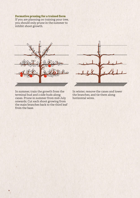#### **Formative pruning for a trained form**

If you are planning on training your tree, you should only prune in the summer to inhibit shoot growth.



In summer, train the growth from the terminal bud and 2 side buds along canes. Prune in summer from mid-July onwards. Cut each shoot growing from the main branches back to the third leaf from the base.



In winter, remove the canes and lower the branches, and tie them along horizontal wires.